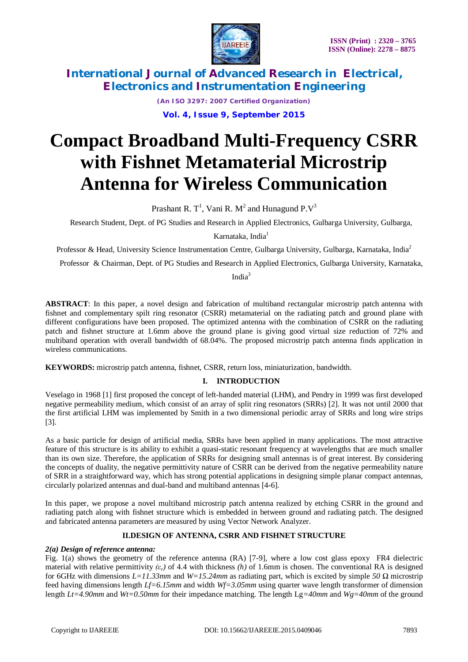

*(An ISO 3297: 2007 Certified Organization)* **Vol. 4, Issue 9, September 2015**

# **Compact Broadband Multi-Frequency CSRR with Fishnet Metamaterial Microstrip Antenna for Wireless Communication**

Prashant R. T<sup>1</sup>, Vani R. M<sup>2</sup> and Hunagund P.V<sup>3</sup>

Research Student, Dept. of PG Studies and Research in Applied Electronics, Gulbarga University, Gulbarga,

Karnataka, India<sup>1</sup>

Professor & Head, University Science Instrumentation Centre, Gulbarga University, Gulbarga, Karnataka, India<sup>2</sup>

Professor & Chairman, Dept. of PG Studies and Research in Applied Electronics, Gulbarga University, Karnataka,

Indi $a^3$ 

**ABSTRACT**: In this paper, a novel design and fabrication of multiband rectangular microstrip patch antenna with fishnet and complementary spilt ring resonator (CSRR) metamaterial on the radiating patch and ground plane with different configurations have been proposed. The optimized antenna with the combination of CSRR on the radiating patch and fishnet structure at 1.6mm above the ground plane is giving good virtual size reduction of 72% and multiband operation with overall bandwidth of 68.04%. The proposed microstrip patch antenna finds application in wireless communications.

**KEYWORDS:** microstrip patch antenna, fishnet, CSRR, return loss, miniaturization, bandwidth.

### **I. INTRODUCTION**

Veselago in 1968 [1] first proposed the concept of left-handed material (LHM), and Pendry in 1999 was first developed negative permeability medium, which consist of an array of split ring resonators (SRRs) [2]. It was not until 2000 that the first artificial LHM was implemented by Smith in a two dimensional periodic array of SRRs and long wire strips [3].

As a basic particle for design of artificial media, SRRs have been applied in many applications. The most attractive feature of this structure is its ability to exhibit a quasi-static resonant frequency at wavelengths that are much smaller than its own size. Therefore, the application of SRRs for designing small antennas is of great interest. By considering the concepts of duality, the negative permittivity nature of CSRR can be derived from the negative permeability nature of SRR in a straightforward way, which has strong potential applications in designing simple planar compact antennas, circularly polarized antennas and dual-band and multiband antennas [4-6].

In this paper, we propose a novel multiband microstrip patch antenna realized by etching CSRR in the ground and radiating patch along with fishnet structure which is embedded in between ground and radiating patch. The designed and fabricated antenna parameters are measured by using Vector Network Analyzer.

### **II.DESIGN OF ANTENNA, CSRR AND FISHNET STRUCTURE**

### *2(a) Design of reference antenna:*

Fig. 1(a) shows the geometry of the reference antenna (RA) [7-9], where a low cost glass epoxy FR4 dielectric material with relative permittivity *(εr)* of 4.4 with thickness *(h)* of 1.6mm is chosen. The conventional RA is designed for 6GHz with dimensions *L=11.33mm* and *W=15.24mm* as radiating part, which is excited by simple *50 Ω* microstrip feed having dimensions length *Lf=6.15mm* and width *Wf=3.05mm* using quarter wave length transformer of dimension length *Lt=4.90mm* and *Wt=0.50mm* for their impedance matching. The length Lg*=40mm* and *Wg=40mm* of the ground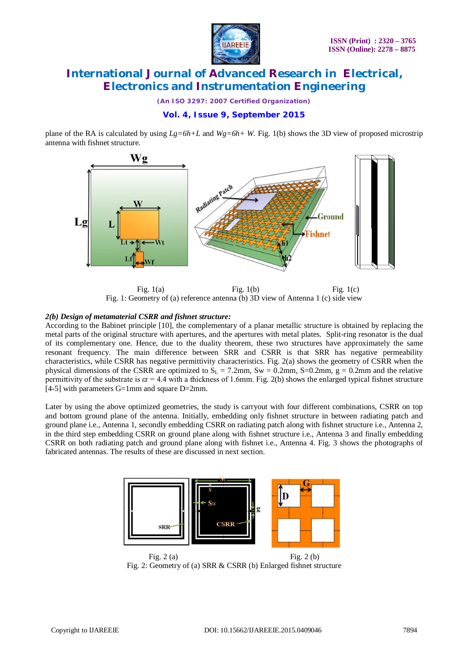

*(An ISO 3297: 2007 Certified Organization)*

### **Vol. 4, Issue 9, September 2015**

plane of the RA is calculated by using *Lg=6h+L* and *Wg=6h+ W.* Fig. 1(b) shows the 3D view of proposed microstrip antenna with fishnet structure.



Fig.  $1(a)$  Fig.  $1(b)$  Fig.  $1(c)$ Fig. 1: Geometry of (a) reference antenna (b) 3D view of Antenna 1 (c) side view

#### *2(b) Design of metamaterial CSRR and fishnet structure:*

According to the Babinet principle [10], the complementary of a planar metallic structure is obtained by replacing the metal parts of the original structure with apertures, and the apertures with metal plates. Split-ring resonator is the dual of its complementary one. Hence, due to the duality theorem, these two structures have approximately the same resonant frequency. The main difference between SRR and CSRR is that SRR has negative permeability characteristics, while CSRR has negative permittivity characteristics. Fig. 2(a) shows the geometry of CSRR when the physical dimensions of the CSRR are optimized to  $S_L = 7.2$ mm,  $S_w = 0.2$ mm,  $S = 0.2$ mm,  $g = 0.2$ mm and the relative permittivity of the substrate is  $\epsilon r = 4.4$  with a thickness of 1.6mm. Fig. 2(b) shows the enlarged typical fishnet structure [4-5] with parameters G=1mm and square D=2mm.

Later by using the above optimized geometries, the study is carryout with four different combinations, CSRR on top and bottom ground plane of the antenna. Initially, embedding only fishnet structure in between radiating patch and ground plane i.e., Antenna 1, secondly embedding CSRR on radiating patch along with fishnet structure i.e., Antenna 2, in the third step embedding CSRR on ground plane along with fishnet structure i.e., Antenna 3 and finally embedding CSRR on both radiating patch and ground plane along with fishnet i.e., Antenna 4. Fig. 3 shows the photographs of fabricated antennas. The results of these are discussed in next section.



Fig. 2 (a) Fig. 2 (b) Fig. 2: Geometry of (a) SRR & CSRR (b) Enlarged fishnet structure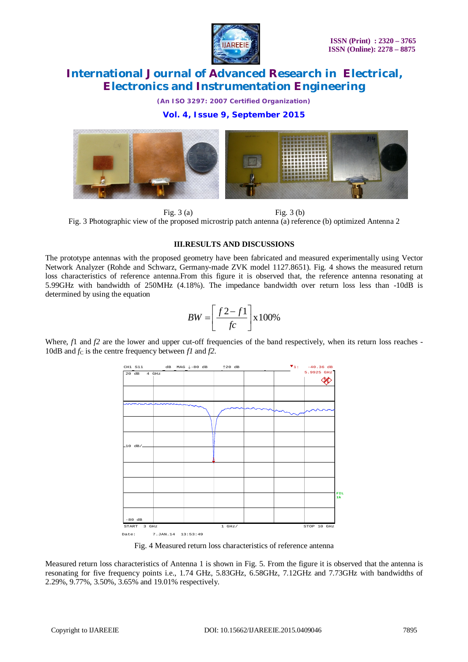

*(An ISO 3297: 2007 Certified Organization)*

### **Vol. 4, Issue 9, September 2015**



Fig. 3 (a) Fig. 3 (b) Fig. 3 Photographic view of the proposed microstrip patch antenna (a) reference (b) optimized Antenna 2

#### **III.RESULTS AND DISCUSSIONS**

The prototype antennas with the proposed geometry have been fabricated and measured experimentally using Vector Network Analyzer (Rohde and Schwarz, Germany-made ZVK model 1127.8651). Fig. 4 shows the measured return loss characteristics of reference antenna.From this figure it is observed that, the reference antenna resonating at 5.99GHz with bandwidth of 250MHz (4.18%). The impedance bandwidth over return loss less than -10dB is determined by using the equation

$$
BW = \left[\frac{f2 - f1}{fc}\right] \times 100\%
$$

Where, *f*1 and *f2* are the lower and upper cut-off frequencies of the band respectively, when its return loss reaches -10dB and  $f_C$  is the centre frequency between  $fI$  and  $f2$ .



Fig. 4 Measured return loss characteristics of reference antenna

Measured return loss characteristics of Antenna 1 is shown in Fig. 5. From the figure it is observed that the antenna is resonating for five frequency points i.e., 1.74 GHz, 5.83GHz, 6.58GHz, 7.12GHz and 7.73GHz with bandwidths of 2.29%, 9.77%, 3.50%, 3.65% and 19.01% respectively.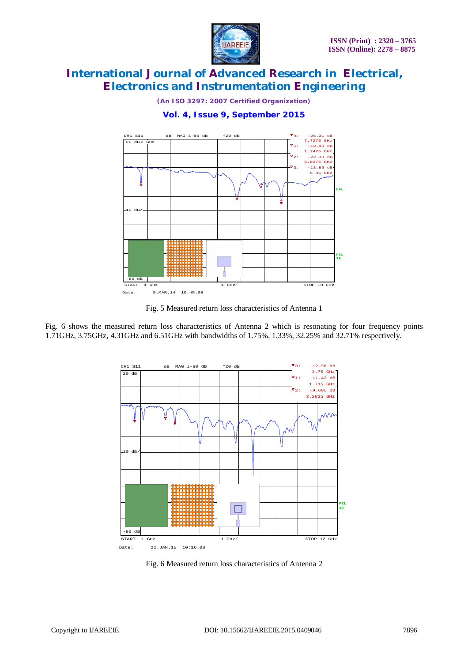

*(An ISO 3297: 2007 Certified Organization)*

### **Vol. 4, Issue 9, September 2015**



Fig. 5 Measured return loss characteristics of Antenna 1

Fig. 6 shows the measured return loss characteristics of Antenna 2 which is resonating for four frequency points 1.71GHz, 3.75GHz, 4.31GHz and 6.51GHz with bandwidths of 1.75%, 1.33%, 32.25% and 32.71% respectively.



Fig. 6 Measured return loss characteristics of Antenna 2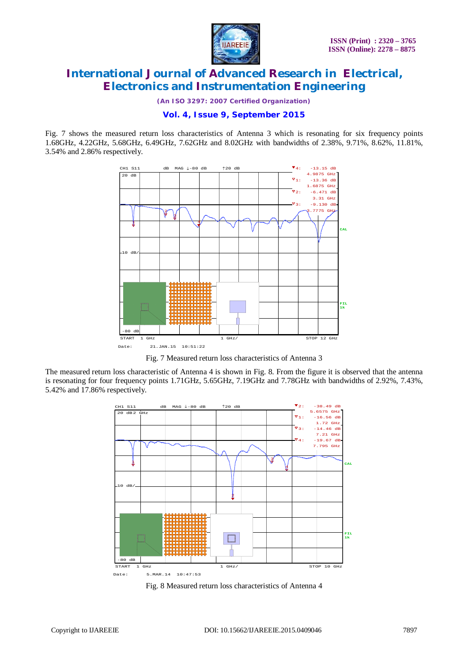

*(An ISO 3297: 2007 Certified Organization)*

### **Vol. 4, Issue 9, September 2015**

Fig. 7 shows the measured return loss characteristics of Antenna 3 which is resonating for six frequency points 1.68GHz, 4.22GHz, 5.68GHz, 6.49GHz, 7.62GHz and 8.02GHz with bandwidths of 2.38%, 9.71%, 8.62%, 11.81%, 3.54% and 2.86% respectively.



Fig. 7 Measured return loss characteristics of Antenna 3

The measured return loss characteristic of Antenna 4 is shown in Fig. 8. From the figure it is observed that the antenna is resonating for four frequency points 1.71GHz, 5.65GHz, 7.19GHz and 7.78GHz with bandwidths of 2.92%, 7.43%, 5.42% and 17.86% respectively.



Fig. 8 Measured return loss characteristics of Antenna 4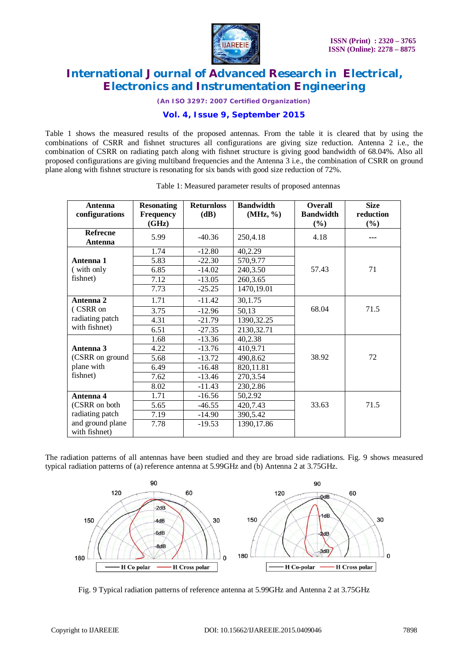

*(An ISO 3297: 2007 Certified Organization)*

### **Vol. 4, Issue 9, September 2015**

Table 1 shows the measured results of the proposed antennas. From the table it is cleared that by using the combinations of CSRR and fishnet structures all configurations are giving size reduction. Antenna 2 i.e., the combination of CSRR on radiating patch along with fishnet structure is giving good bandwidth of 68.04%. Also all proposed configurations are giving multiband frequencies and the Antenna 3 i.e., the combination of CSRR on ground plane along with fishnet structure is resonating for six bands with good size reduction of 72%.

| Antenna<br>configurations         | <b>Resonating</b><br><b>Frequency</b> | <b>Returnloss</b><br>(dB) | <b>Bandwidth</b><br>(MHz, %) | <b>Overall</b><br><b>Bandwidth</b> | <b>Size</b><br>reduction |
|-----------------------------------|---------------------------------------|---------------------------|------------------------------|------------------------------------|--------------------------|
|                                   | (GHz)                                 |                           |                              | (%)                                | $(\%)$                   |
| Refrecne<br>Antenna               | 5.99                                  | $-40.36$                  | 250,4.18                     | 4.18                               |                          |
|                                   | 1.74                                  | $-12.80$                  | 40,2.29                      |                                    |                          |
| Antenna 1                         | 5.83                                  | $-22.30$                  | 570,9.77                     |                                    |                          |
| (with only                        | 6.85                                  | $-14.02$                  | 240,3.50                     | 57.43                              | 71                       |
| fishnet)                          | 7.12                                  | $-13.05$                  | 260, 3.65                    |                                    |                          |
|                                   | 7.73                                  | $-25.25$                  | 1470,19.01                   |                                    |                          |
| Antenna 2                         | 1.71                                  | $-11.42$                  | 30,1.75                      |                                    |                          |
| (CSRR on                          | 3.75                                  | $-12.96$                  | 50,13                        | 68.04                              | 71.5                     |
| radiating patch                   | 4.31                                  | $-21.79$                  | 1390, 32.25                  |                                    |                          |
| with fishnet)                     | 6.51                                  | $-27.35$                  | 2130,32.71                   |                                    |                          |
|                                   | 1.68                                  | $-13.36$                  | 40,2.38                      |                                    |                          |
| Antenna 3                         | 4.22                                  | $-13.76$                  | 410,9.71                     |                                    |                          |
| (CSRR on ground                   | 5.68                                  | $-13.72$                  | 490,8.62                     | 38.92                              | 72                       |
| plane with                        | 6.49                                  | $-16.48$                  | 820,11.81                    |                                    |                          |
| fishnet)                          | 7.62                                  | $-13.46$                  | 270,3.54                     |                                    |                          |
|                                   | 8.02                                  | $-11.43$                  | 230,2.86                     |                                    |                          |
| Antenna 4                         | 1.71                                  | $-16.56$                  | 50,2.92                      |                                    |                          |
| (CSRR on both                     | 5.65                                  | $-46.55$                  | 420,7.43                     | 33.63                              | 71.5                     |
| radiating patch                   | 7.19                                  | $-14.90$                  | 390,5.42                     |                                    |                          |
| and ground plane<br>with fishnet) | 7.78                                  | $-19.53$                  | 1390, 17.86                  |                                    |                          |

| Table 1: Measured parameter results of proposed antennas |  |  |  |  |  |  |  |  |
|----------------------------------------------------------|--|--|--|--|--|--|--|--|
|----------------------------------------------------------|--|--|--|--|--|--|--|--|

The radiation patterns of all antennas have been studied and they are broad side radiations. Fig. 9 shows measured typical radiation patterns of (a) reference antenna at 5.99GHz and (b) Antenna 2 at 3.75GHz.



Fig. 9 Typical radiation patterns of reference antenna at 5.99GHz and Antenna 2 at 3.75GHz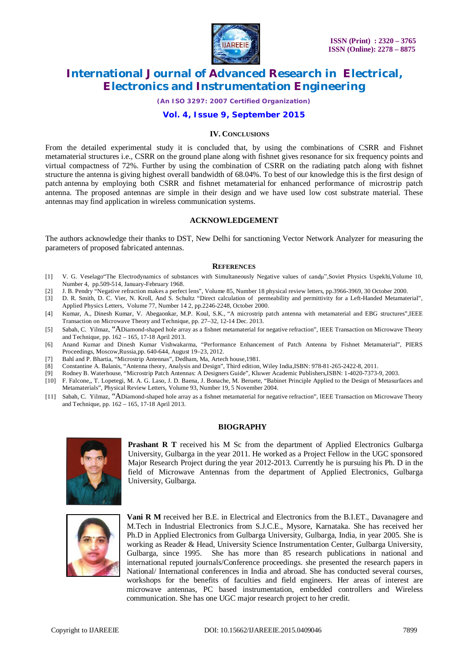

*(An ISO 3297: 2007 Certified Organization)*

#### **Vol. 4, Issue 9, September 2015**

#### **IV. CONCLUSIONS**

From the detailed experimental study it is concluded that, by using the combinations of CSRR and Fishnet metamaterial structures i.e., CSRR on the ground plane along with fishnet gives resonance for six frequency points and virtual compactness of 72%. Further by using the combination of CSRR on the radiating patch along with fishnet structure the antenna is giving highest overall bandwidth of 68.04%. To best of our knowledge this is the first design of patch antenna by employing both CSRR and fishnet metamaterial for enhanced performance of microstrip patch antenna. The proposed antennas are simple in their design and we have used low cost substrate material. These antennas may find application in wireless communication systems.

#### **ACKNOWLEDGEMENT**

The authors acknowledge their thanks to DST, New Delhi for sanctioning Vector Network Analyzer for measuring the parameters of proposed fabricated antennas.

#### **REFERENCES**

- [1] V. G. Veselago"The Electrodynamics of substances with Simultaneously Negative values of εandμ",Soviet Physics Uspekhi,Volume 10, Number 4, pp.509-514, January-February 1968.
- 
- [2] J. B. Pendry "Negative refraction makes a perfect lens", Volume 85, Number 18 physical review letters, pp.3966-3969, 30 October 2000. D. R. Smith, D. C. Vier, N. Kroll, And S. Schultz "Direct calculation of permeability and permittivity for a Left-Handed Metamaterial", Applied Physics Letters, Volume 77, Number 14 2, pp.2246-2248, October 2000.
- [4] Kumar, A., Dinesh Kumar, V. Abegaonkar, M.P. Koul, S.K., "A microstrip patch antenna with metamaterial and EBG structures",IEEE Transaction on Microwave Theory and Technique, pp. 27–32, 12-14 Dec. 2013.
- [5] Sabah, C. Yilmaz, "ADiamond-shaped hole array as a fishnet metamaterial for negative refraction", IEEE Transaction on Microwave Theory and Technique, pp. 162 – 165, 17-18 April 2013.
- [6] Anand Kumar and Dinesh Kumar Vishwakarma, "Performance Enhancement of Patch Antenna by Fishnet Metamaterial", PIERS Proceedings, Moscow,Russia,pp. 640-644, August 19–23, 2012.
- [7] Bahl and P. Bhartia, "Microstrip Antennas", Dedham, Ma, Artech house,1981.
- [8] Constantine A. Balanis, "Antenna theory, Analysis and Design", Third edition, Wiley India,ISBN: 978-81-265-2422-8, 2011.
- [9] Rodney B. Waterhouse, "Microstrip Patch Antennas: A Designers Guide", Kluwer Academic Publishers,ISBN: 1-4020-7373-9, 2003.
- [10] F. Falcone,, T. Lopetegi, M. A. G. Laso, J. D. Baena, J. Bonache, M. Beruete, "Babinet Principle Applied to the Design of Metasurfaces and Metamaterials", Physical Review Letters, Volume 93, Number 19, 5 November 2004.
- [11] Sabah, C. Yilmaz, "ADiamond-shaped hole array as a fishnet metamaterial for negative refraction", IEEE Transaction on Microwave Theory and Technique, pp. 162 – 165, 17-18 April 2013.

### **BIOGRAPHY**



**Prashant R T** received his M Sc from the department of Applied Electronics Gulbarga University, Gulbarga in the year 2011. He worked as a Project Fellow in the UGC sponsored Major Research Project during the year 2012-2013. Currently he is pursuing his Ph. D in the field of Microwave Antennas from the department of Applied Electronics, Gulbarga University, Gulbarga.



**Vani R M** received her B.E. in Electrical and Electronics from the B.I.ET., Davanagere and M.Tech in Industrial Electronics from S.J.C.E., Mysore, Karnataka. She has received her Ph.D in Applied Electronics from Gulbarga University, Gulbarga, India, in year 2005. She is working as Reader & Head, University Science Instrumentation Center, Gulbarga University, Gulbarga, since 1995. She has more than 85 research publications in national and international reputed journals/Conference proceedings. she presented the research papers in National/ International conferences in India and abroad. She has conducted several courses, workshops for the benefits of faculties and field engineers. Her areas of interest are microwave antennas, PC based instrumentation, embedded controllers and Wireless communication. She has one UGC major research project to her credit.